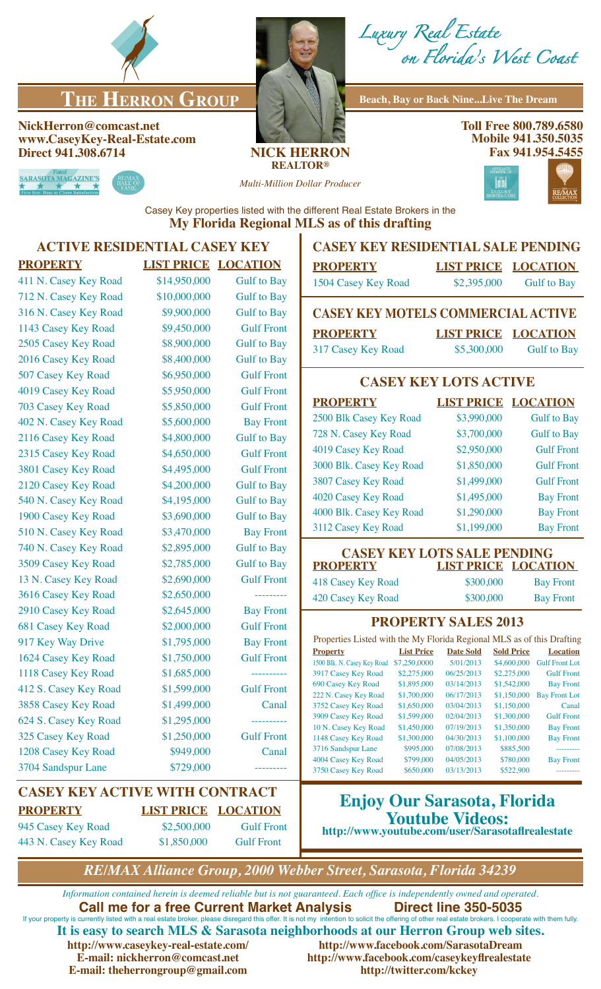

# **THE HERRON GROUP** Beach, Bay or Back Nine...Live The Dream

#### **NickHerron@comcast.net www.CaseyKey-Real-Estate.com Direct 941.308.6714 NICK HERRON**



*Luxury Real Estate on Florida's West Coast*

**Toll Free 800.789.6580 Mobile 941.350.5035 Fax 941.954.5455**



**REALTOR®**

*Multi-Million Dollar Producer*



Casey Key properties listed with the different Real Estate Brokers in the **My Florida Regional MLS as of this drafting**

# **ACTIVE RESIDENTIAL CASEY KEY**

### **PROPERTY LIST PRICE LOCATION** 411 N. Casey Key Road \$14,950,000 Gulf to Bay 712 N. Casey Key Road \$10,000,000 Gulf to Bay 316 N. Casey Key Road \$9,900,000 Gulf to Bay 1143 Casey Key Road  $$9,450,000$  Gulf Front 2505 Casey Key Road \$8,900,000 Gulf to Bay 2016 Casey Key Road \$8,400,000 Gulf to Bay 507 Casey Key Road \$6,950,000 Gulf Front 4019 Casey Key Road \$5,950,000 Gulf Front 703 Casey Key Road \$5,850,000 Gulf Front 402 N. Casey Key Road \$5,600,000 Bay Front 2116 Casey Key Road \$4,800,000 Gulf to Bay 2315 Casey Key Road  $$4,650,000$  Gulf Front 3801 Casey Key Road \$4,495,000 Gulf Front 2120 Casey Key Road \$4,200,000 Gulf to Bay 540 N. Casey Key Road \$4,195,000 Gulf to Bay 1900 Casey Key Road \$3,690,000 Gulf to Bay 510 N. Casey Key Road \$3,470,000 Bay Front 740 N. Casey Key Road \$2,895,000 Gulf to Bay 3509 Casey Key Road \$2,785,000 Gulf to Bay 13 N. Casey Key Road \$2,690,000 Gulf Front 3616 Casey Key Road \$2,650,000 -------2910 Casey Key Road \$2,645,000 Bay Front 681 Casey Key Road \$2,000,000 Gulf Front 917 Key Way Drive \$1,795,000 Bay Front 1624 Casey Key Road \$1,750,000 Gulf Front 1118 Casey Key Road \$1,685,000 -------412 S. Casey Key Road \$1,599,000 Gulf Front 3858 Casey Key Road \$1,499,000 Canal 624 S. Casey Key Road \$1,295,000 ---------- 325 Casey Key Road \$1,250,000 Gulf Front 1208 Casey Key Road \$949,000 Canal 3704 Sandspur Lane \$729,000

### **CASEY KEY ACTIVE WITH CONTRACT PROPERTY LIST PRICE LOCATION** 945 Casey Key Road \$2,500,000 Gulf Front

443 N. Casey Key Road \$1,850,000 Gulf Front

## **Enjoy Our Sarasota, Florida Youtube Videos: http://www.youtube.com/user/Sarasotaflrealestate**

*RE/MAX Alliance Group, 2000 Webber Street, Sarasota, Florida 34239*

*Information contained herein is deemed reliable but is not guaranteed. Each office is independently owned and operated.* **Call me for a free Current Market Analysis Direct line 350-5035** If your property is currently listed with a real estate broker, please disregard this offer. It is not my intention to solicit the offering of other real estate brokers. I cooperate with them fully. **It is easy to search MLS & Sarasota neighborhoods at our Herron Group web sites.** http://www.facebook.com/SarasotaDream **E-mail: nickherron@comcast.net http://www.facebook.com/caseykeyflrealestate E-mail: theherrongroup@gmail.com http://twitter.com/kckey**

**CASEY KEY RESIDENTIAL SALE PENDING**

| <b>PROPERTY</b>              | <b>LIST PRICE LOCATION</b> |                                      |
|------------------------------|----------------------------|--------------------------------------|
| $1504 \, \text{C}$ , $V$ $D$ | 0.20500                    | $C_{\rm{H}}$ $10.4$ D <sub>rea</sub> |

1504 Casey Key Road \$2,395,000 Gulf to Bay

## **CASEY KEY MOTELS COMMERCIAL ACTIVE**

**PROPERTY LIST PRICE LOCATION** 317 Casey Key Road \$5,300,000 Gulf to Bay

# **CASEY KEY LOTS ACTIVE**

| <b>PROPERTY</b>          | <b>LIST PRICE LOCATION</b> |                    |
|--------------------------|----------------------------|--------------------|
| 2500 Blk Casey Key Road  | \$3,990,000                | <b>Gulf</b> to Bay |
| 728 N. Casey Key Road    | \$3,700,000                | <b>Gulf</b> to Bay |
| 4019 Casey Key Road      | \$2,950,000                | <b>Gulf Front</b>  |
| 3000 Blk. Casey Key Road | \$1,850,000                | <b>Gulf Front</b>  |
| 3807 Casey Key Road      | \$1,499,000                | <b>Gulf Front</b>  |
| 4020 Casey Key Road      | \$1,495,000                | <b>Bay Front</b>   |
| 4000 Blk. Casey Key Road | \$1,290,000                | <b>Bay Front</b>   |
| 3112 Casey Key Road      | \$1,199,000                | <b>Bay Front</b>   |

#### **CASEY KEY LOTS SALE PENDING<br>PROPERTY LIST PRICE LOCAT LIST PRICE LOCATION**

418 Casey Key Road \$300,000 Bay Front 420 Casey Key Road \$300,000 Bay Front

### **PROPERTY SALES 2013**

| Properties Listed with the My Florida Regional MLS as of this Drafting |                   |                  |                   |                       |  |
|------------------------------------------------------------------------|-------------------|------------------|-------------------|-----------------------|--|
| <b>Property</b>                                                        | <b>List Price</b> | <b>Date Sold</b> | <b>Sold Price</b> | <b>Location</b>       |  |
| 1500 Blk. N. Casey Key Road                                            | \$7,250,0000      | 5/01/2013        | \$4,600,000       | <b>Gulf Front Lot</b> |  |
| 3917 Casey Key Road                                                    | \$2,275,000       | 06/25/2013       | \$2,275,000       | <b>Gulf Front</b>     |  |
| 690 Casey Key Road                                                     | \$1,895,000       | 03/14/2013       | \$1,542,000       | <b>Bay Front</b>      |  |
| 222 N. Casey Key Road                                                  | \$1,700,000       | 06/17/2013       | \$1,150,000       | <b>Bay Front Lot</b>  |  |
| 3752 Casey Key Road                                                    | \$1,650,000       | 03/04/2013       | \$1,150,000       | Canal                 |  |
| 3909 Casey Key Road                                                    | \$1,599,000       | 02/04/2013       | \$1,300,000       | <b>Gulf Front</b>     |  |
| 10 N. Casey Key Road                                                   | \$1,450,000       | 07/19/2013       | \$1,350,000       | <b>Bay Front</b>      |  |
| 1148 Casey Key Road                                                    | \$1,300,000       | 04/30/2013       | \$1,100,000       | <b>Bay Front</b>      |  |
| 3716 Sandspur Lane                                                     | \$995,000         | 07/08/2013       | \$885,500         | ---------             |  |
| 4004 Casey Key Road                                                    | \$799,000         | 04/05/2013       | \$780,000         | <b>Bay Front</b>      |  |
| 3750 Casey Key Road                                                    | \$650,000         | 03/13/2013       | \$522.900         |                       |  |